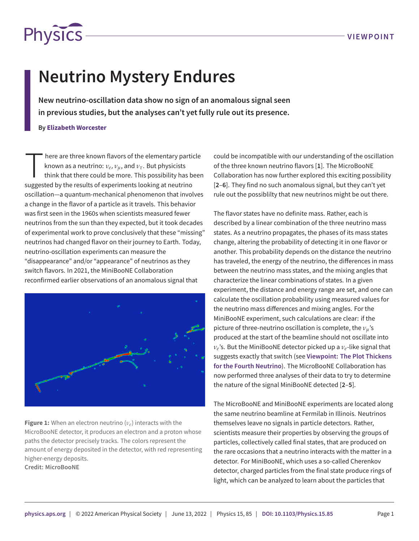

## **Neutrino Mystery Endures**

**New neutrino-oscillation data show no sign of an anomalous signal seen in previous studies, but the analyses can't yet fully rule out its presence.**

**By Elizabeth Worcester**

here are three known flavors of the elementary particle known as a neutrino:  $v_e$ ,  $v_\mu$ , and  $v_\tau$ . But physicists think that there could be more. This possibility has buggested by the results of experiments looking at n here are three known flavors of the elementary particle known as a neutrino: *ν<sup>e</sup>* , *νµ*, and *ντ*. But physicists think that there could be more. This possibility has been oscillation—a quantum-mechanical phenomenon that involves a change in the flavor of a particle as it travels. This behavior was first seen in the 1960s when scientists measured fewer neutrinos from the sun than they expected, but it took decades of experimental work to prove conclusively that these "missing" neutrinos had changed flavor on their journey to Earth. Today, neutrino-oscillation experiments can measure the "disappearance" and/or "appearance" of neutrinos as they switch flavors. In 2021, the MiniBooNE Collaboration reconfirmed earlier observations of an anomalous signal that

<span id="page-0-0"></span>

**Figure 1:** When an electron neutrino (*νe*) interacts with the MicroBooNE detector, it produces an electron and a proton whose paths the detector precisely tracks. The colors represent the amount of energy deposited in the detector, with red representing higher-energy deposits. **Credit: MicroBooNE**

could be incompatible with our understanding of the oscillation of the three known neutrino flavors [**[1](#page-1-0)**]. The MicroBooNE Collaboration has now further explored this exciting possibility [**[2](#page-1-1)**–**[6](#page-2-0)**]. They find no such anomalous signal, but they can't yet rule out the possiblilty that new neutrinos might be out there.

The flavor states have no definite mass. Rather, each is described by a linear combination of the three neutrino mass states. As a neutrino propagates, the phases of its mass states change, altering the probability of detecting it in one flavor or another. This probability depends on the distance the neutrino has traveled, the energy of the neutrino, the differences in mass between the neutrino mass states, and the mixing angles that characterize the linear combinations of states. In a given experiment, the distance and energy range are set, and one can calculate the oscillation probability using measured values for the neutrino mass differences and mixing angles. For the MiniBooNE experiment, such calculations are clear: if the picture of three-neutrino oscillation is complete, the *νµ*'s produced at the start of the beamline should not oscillate into *νe* 's. But the MiniBooNE detector picked up a *νe*-like signal that suggests exactly that switch (see **[Viewpoint: The Plot Thickens](https://physics.aps.org/articles/v11/122) [for the Fourth Neutrino](https://physics.aps.org/articles/v11/122)**). The MicroBooNE Collaboration has now performed three analyses of their data to try to determine the nature of the signal MiniBooNE detected [**[2](#page-1-1)**–**[5](#page-1-2)**].

The MicroBooNE and MiniBooNE experiments are located along the same neutrino beamline at Fermilab in Illinois. Neutrinos themselves leave no signals in particle detectors. Rather, scientists measure their properties by observing the groups of particles, collectively called final states, that are produced on the rare occasions that a neutrino interacts with the matter in a detector. For MiniBooNE, which uses a so-called Cherenkov detector, charged particles from the final state produce rings of light, which can be analyzed to learn about the particles that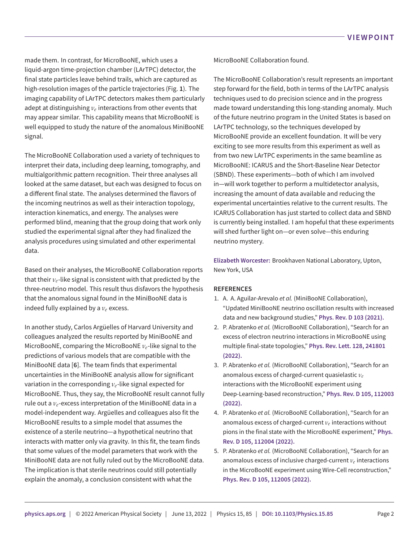made them. In contrast, for MicroBooNE, which uses a liquid-argon time-projection chamber (LArTPC) detector, the final state particles leave behind trails, which are captured as high-resolution images of the particle trajectories (Fig. **[1](#page-0-0)**). The imaging capability of LArTPC detectors makes them particularly adept at distinguishing  $\nu_e$  interactions from other events that may appear similar. This capability means that MicroBooNE is well equipped to study the nature of the anomalous MiniBooNE signal.

The MicroBooNE Collaboration used a variety of techniques to interpret their data, including deep learning, tomography, and multialgorithmic pattern recognition. Their three analyses all looked at the same dataset, but each was designed to focus on a different final state. The analyses determined the flavors of the incoming neutrinos as well as their interaction topology, interaction kinematics, and energy. The analyses were performed blind, meaning that the group doing that work only studied the experimental signal after they had finalized the analysis procedures using simulated and other experimental data.

Based on their analyses, the MicroBooNE Collaboration reports that their *νe*-like signal is consistent with that predicted by the three-neutrino model. This result thus disfavors the hypothesis that the anomalous signal found in the MiniBooNE data is indeed fully explained by a *ν<sup>e</sup>* excess.

In another study, Carlos Argüelles of Harvard University and colleagues analyzed the results reported by MiniBooNE and MicroBooNE, comparing the MicroBooNE *νe*-like signal to the predictions of various models that are compatible with the MiniBooNE data [**[6](#page-2-0)**]. The team finds that experimental uncertainties in the MiniBooNE analysis allow for significant variation in the corresponding *νe*-like signal expected for MicroBooNE. Thus, they say, the MicroBooNE result cannot fully rule out a *νe*-excess interpretation of the MiniBooNE data in a model-independent way. Argüelles and colleagues also fit the MicroBooNE results to a simple model that assumes the existence of a sterile neutrino—a hypothetical neutrino that interacts with matter only via gravity. In this fit, the team finds that some values of the model parameters that work with the MiniBooNE data are not fully ruled out by the MicroBooNE data. The implication is that sterile neutrinos could still potentially explain the anomaly, a conclusion consistent with what the

MicroBooNE Collaboration found.

The MicroBooNE Collaboration's result represents an important step forward for the field, both in terms of the LArTPC analysis techniques used to do precision science and in the progress made toward understanding this long-standing anomaly. Much of the future neutrino program in the United States is based on LArTPC technology, so the techniques developed by MicroBooNE provide an excellent foundation. It will be very exciting to see more results from this experiment as well as from two new LArTPC experiments in the same beamline as MicroBooNE: ICARUS and the Short-Baseline Near Detector (SBND). These experiments—both of which I am involved in—will work together to perform a multidetector analysis, increasing the amount of data available and reducing the experimental uncertainties relative to the current results. The ICARUS Collaboration has just started to collect data and SBND is currently being installed. I am hopeful that these experiments will shed further light on—or even solve—this enduring neutrino mystery.

**Elizabeth Worcester:** Brookhaven National Laboratory, Upton, New York, USA

## **REFERENCES**

- <span id="page-1-0"></span>1. A. A. Aguilar-Arevalo *et al.* (MiniBooNE Collaboration), "Updated MiniBooNE neutrino oscillation results with increased data and new background studies," **[Phys. Rev. D](https://doi.org/10.1103/PhysRevD.103.052002) [103](https://doi.org/10.1103/PhysRevD.103.052002) [\(2021\)](https://doi.org/10.1103/PhysRevD.103.052002).**
- <span id="page-1-1"></span>2. P. Abratenko *et al.* (MicroBooNE Collaboration), "Search for an excess of electron neutrino interactions in MicroBooNE using multiple final-state topologies," **[Phys. Rev. Lett.](https://doi.org/10.1103/PhysRevLett.128.241801) [128,](https://doi.org/10.1103/PhysRevLett.128.241801) [241801](https://doi.org/10.1103/PhysRevLett.128.241801) (2022).**
- 3. P. Abratenko *et al.* (MicroBooNE Collaboration), "Search for an anomalous excess of charged-current quasielastic *ν<sup>e</sup>* interactions with the MicroBooNE experiment using Deep-Learning-based reconstruction," **[Phys. Rev. D](https://doi.org/10.1103/PhysRevD.105.112003) [105](https://doi.org/10.1103/PhysRevD.105.112003), [112003](https://doi.org/10.1103/PhysRevD.105.112003) (2022).**
- 4. P. Abratenko *et al.* (MicroBooNE Collaboration), "Search for an anomalous excess of charged-current *ν<sup>e</sup>* interactions without pions in the final state with the MicroBooNE experiment," **[Phys.](https://doi.org/10.1103/PhysRevD.105.112004) [Rev. D](https://doi.org/10.1103/PhysRevD.105.112004) [105](https://doi.org/10.1103/PhysRevD.105.112004), [112004](https://doi.org/10.1103/PhysRevD.105.112004) (2022).**
- <span id="page-1-2"></span>5. P. Abratenko *et al.* (MicroBooNE Collaboration), "Search for an anomalous excess of inclusive charged-current *ν<sup>e</sup>* interactions in the MicroBooNE experiment using Wire-Cell reconstruction," **[Phys. Rev. D](https://doi.org/10.1103/PhysRevD.105.112005) [105](https://doi.org/10.1103/PhysRevD.105.112005), [112005](https://doi.org/10.1103/PhysRevD.105.112005) (2022).**